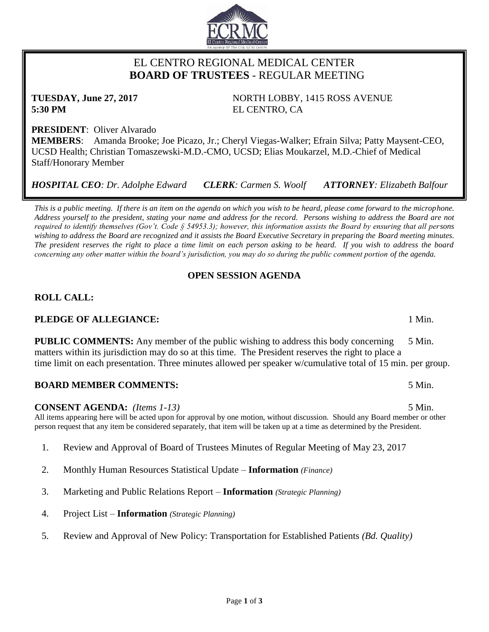# EL CENTRO REGIONAL MEDICAL CENTER  **BOARD OF TRUSTEES** - REGULAR MEETING

**TUESDAY, June 27, 2017** NORTH LOBBY, 1415 ROSS AVENUE **5:30 PM** EL CENTRO, CA

**PRESIDENT**: Oliver Alvarado **MEMBERS**: Amanda Brooke; Joe Picazo, Jr.; Cheryl Viegas-Walker; Efrain Silva; Patty Maysent-CEO, UCSD Health; Christian Tomaszewski-M.D.-CMO, UCSD; Elias Moukarzel, M.D.-Chief of Medical Staff/Honorary Member

*HOSPITAL CEO: Dr. Adolphe Edward CLERK: Carmen S. Woolf ATTORNEY: Elizabeth Balfour*

*This is a public meeting. If there is an item on the agenda on which you wish to be heard, please come forward to the microphone. Address yourself to the president, stating your name and address for the record. Persons wishing to address the Board are not required to identify themselves (Gov't. Code § 54953.3); however, this information assists the Board by ensuring that all persons wishing to address the Board are recognized and it assists the Board Executive Secretary in preparing the Board meeting minutes. The president reserves the right to place a time limit on each person asking to be heard. If you wish to address the board concerning any other matter within the board's jurisdiction, you may do so during the public comment portion of the agenda.*

# **OPEN SESSION AGENDA**

# **ROLL CALL:**

# **PLEDGE OF ALLEGIANCE:** 1 Min.

**PUBLIC COMMENTS:** Any member of the public wishing to address this body concerning 5 Min. matters within its jurisdiction may do so at this time. The President reserves the right to place a time limit on each presentation. Three minutes allowed per speaker w/cumulative total of 15 min. per group.

# **BOARD MEMBER COMMENTS:** 5 Min.

# **CONSENT AGENDA:** *(Items 1-13)* 5 Min.

All items appearing here will be acted upon for approval by one motion, without discussion. Should any Board member or other person request that any item be considered separately, that item will be taken up at a time as determined by the President.

- 1. Review and Approval of Board of Trustees Minutes of Regular Meeting of May 23, 2017
- 2. Monthly Human Resources Statistical Update **Information** *(Finance)*
- 3. Marketing and Public Relations Report **Information** *(Strategic Planning)*
- 4. Project List **Information** *(Strategic Planning)*
- 5. Review and Approval of New Policy: Transportation for Established Patients *(Bd. Quality)*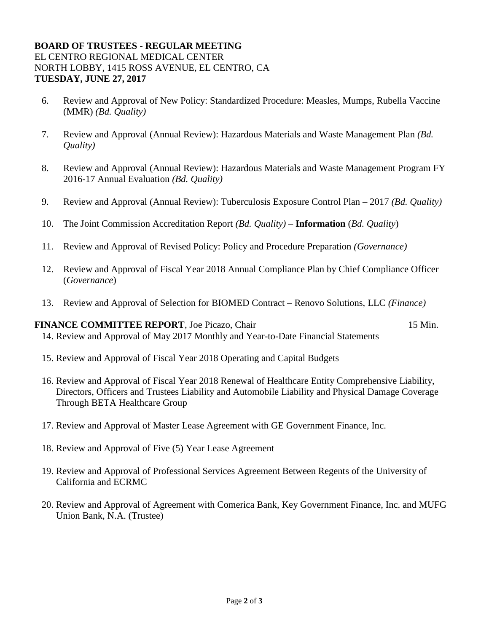## **BOARD OF TRUSTEES - REGULAR MEETING** EL CENTRO REGIONAL MEDICAL CENTER NORTH LOBBY, 1415 ROSS AVENUE, EL CENTRO, CA **TUESDAY, JUNE 27, 2017**

- 6. Review and Approval of New Policy: Standardized Procedure: Measles, Mumps, Rubella Vaccine (MMR) *(Bd. Quality)*
- 7. Review and Approval (Annual Review): Hazardous Materials and Waste Management Plan *(Bd. Quality)*
- 8. Review and Approval (Annual Review): Hazardous Materials and Waste Management Program FY 2016-17 Annual Evaluation *(Bd. Quality)*
- 9. Review and Approval (Annual Review): Tuberculosis Exposure Control Plan 2017 *(Bd. Quality)*
- 10. The Joint Commission Accreditation Report *(Bd. Quality)* **Information** (*Bd. Quality*)
- 11. Review and Approval of Revised Policy: Policy and Procedure Preparation *(Governance)*
- 12. Review and Approval of Fiscal Year 2018 Annual Compliance Plan by Chief Compliance Officer (*Governance*)
- 13. Review and Approval of Selection for BIOMED Contract Renovo Solutions, LLC *(Finance)*

#### **FINANCE COMMITTEE REPORT**, Joe Picazo, Chair 15 Min. 14. Review and Approval of May 2017 Monthly and Year-to-Date Financial Statements

- 15. Review and Approval of Fiscal Year 2018 Operating and Capital Budgets
- 16. Review and Approval of Fiscal Year 2018 Renewal of Healthcare Entity Comprehensive Liability, Directors, Officers and Trustees Liability and Automobile Liability and Physical Damage Coverage Through BETA Healthcare Group
- 17. Review and Approval of Master Lease Agreement with GE Government Finance, Inc.
- 18. Review and Approval of Five (5) Year Lease Agreement
- 19. Review and Approval of Professional Services Agreement Between Regents of the University of California and ECRMC
- 20. Review and Approval of Agreement with Comerica Bank, Key Government Finance, Inc. and MUFG Union Bank, N.A. (Trustee)